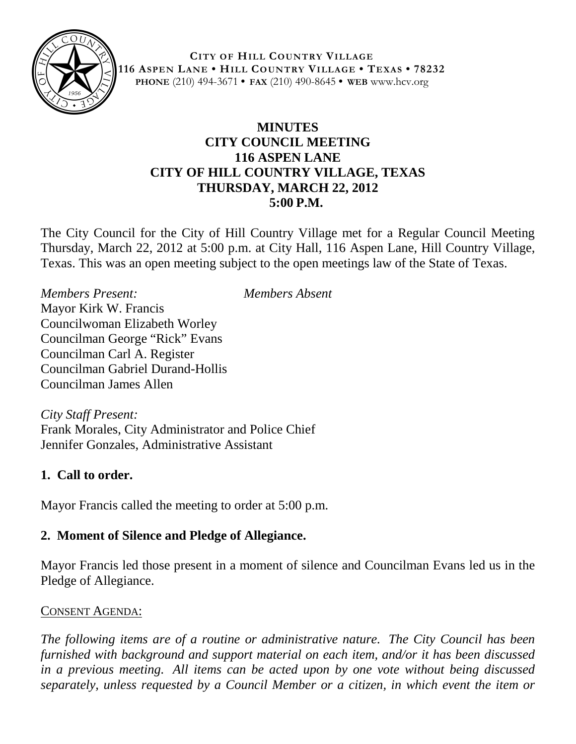

**CITY OF HILL COUNTRY VILLAGE 116 ASPEN LANE • HILL COUNTRY VILLAGE • TEXAS • 78232 PHONE** (210) 494-3671 **• FAX** (210) 490-8645 **• WEB** www.hcv.org

## **MINUTES CITY COUNCIL MEETING 116 ASPEN LANE CITY OF HILL COUNTRY VILLAGE, TEXAS THURSDAY, MARCH 22, 2012 5:00 P.M.**

The City Council for the City of Hill Country Village met for a Regular Council Meeting Thursday, March 22, 2012 at 5:00 p.m. at City Hall, 116 Aspen Lane, Hill Country Village, Texas. This was an open meeting subject to the open meetings law of the State of Texas.

*Members Present: Members Absent* Mayor Kirk W. Francis Councilwoman Elizabeth Worley Councilman George "Rick" Evans Councilman Carl A. Register Councilman Gabriel Durand-Hollis Councilman James Allen

*City Staff Present:* Frank Morales, City Administrator and Police Chief Jennifer Gonzales, Administrative Assistant

#### **1. Call to order.**

Mayor Francis called the meeting to order at 5:00 p.m.

## **2. Moment of Silence and Pledge of Allegiance.**

Mayor Francis led those present in a moment of silence and Councilman Evans led us in the Pledge of Allegiance.

#### CONSENT AGENDA:

*The following items are of a routine or administrative nature. The City Council has been furnished with background and support material on each item, and/or it has been discussed in a previous meeting. All items can be acted upon by one vote without being discussed separately, unless requested by a Council Member or a citizen, in which event the item or*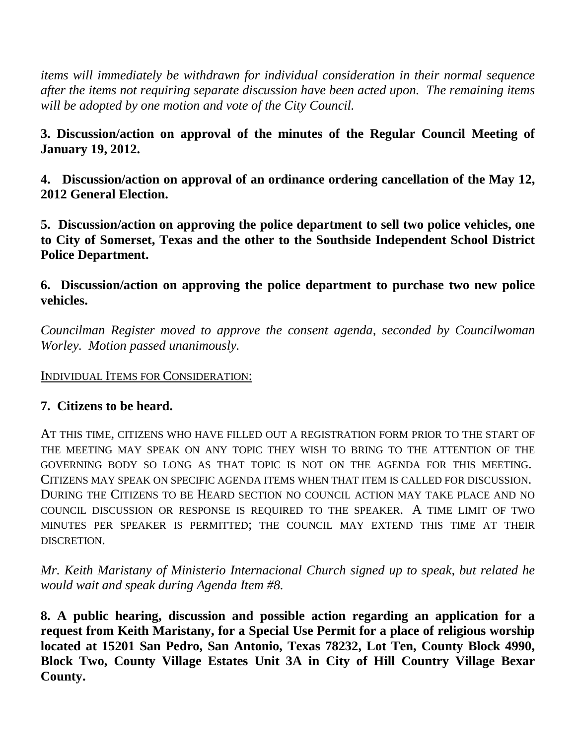*items will immediately be withdrawn for individual consideration in their normal sequence after the items not requiring separate discussion have been acted upon. The remaining items will be adopted by one motion and vote of the City Council.*

**3. Discussion/action on approval of the minutes of the Regular Council Meeting of January 19, 2012.**

**4. Discussion/action on approval of an ordinance ordering cancellation of the May 12, 2012 General Election.**

**5. Discussion/action on approving the police department to sell two police vehicles, one to City of Somerset, Texas and the other to the Southside Independent School District Police Department.**

**6. Discussion/action on approving the police department to purchase two new police vehicles.**

*Councilman Register moved to approve the consent agenda, seconded by Councilwoman Worley. Motion passed unanimously.*

INDIVIDUAL ITEMS FOR CONSIDERATION:

#### **7. Citizens to be heard.**

AT THIS TIME, CITIZENS WHO HAVE FILLED OUT A REGISTRATION FORM PRIOR TO THE START OF THE MEETING MAY SPEAK ON ANY TOPIC THEY WISH TO BRING TO THE ATTENTION OF THE GOVERNING BODY SO LONG AS THAT TOPIC IS NOT ON THE AGENDA FOR THIS MEETING. CITIZENS MAY SPEAK ON SPECIFIC AGENDA ITEMS WHEN THAT ITEM IS CALLED FOR DISCUSSION. DURING THE CITIZENS TO BE HEARD SECTION NO COUNCIL ACTION MAY TAKE PLACE AND NO COUNCIL DISCUSSION OR RESPONSE IS REQUIRED TO THE SPEAKER. A TIME LIMIT OF TWO MINUTES PER SPEAKER IS PERMITTED; THE COUNCIL MAY EXTEND THIS TIME AT THEIR DISCRETION.

*Mr. Keith Maristany of Ministerio Internacional Church signed up to speak, but related he would wait and speak during Agenda Item #8.*

**8. A public hearing, discussion and possible action regarding an application for a request from Keith Maristany, for a Special Use Permit for a place of religious worship located at 15201 San Pedro, San Antonio, Texas 78232, Lot Ten, County Block 4990, Block Two, County Village Estates Unit 3A in City of Hill Country Village Bexar County.**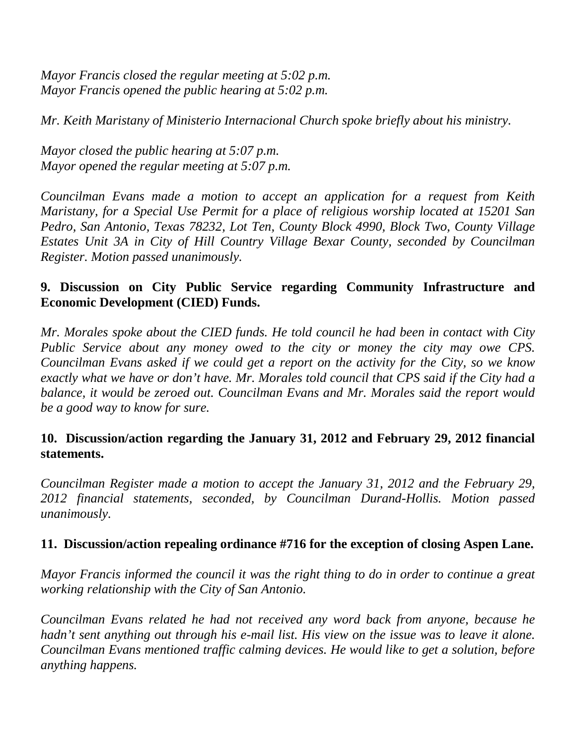*Mayor Francis closed the regular meeting at 5:02 p.m. Mayor Francis opened the public hearing at 5:02 p.m.*

*Mr. Keith Maristany of Ministerio Internacional Church spoke briefly about his ministry.*

*Mayor closed the public hearing at 5:07 p.m. Mayor opened the regular meeting at 5:07 p.m.*

*Councilman Evans made a motion to accept an application for a request from Keith Maristany, for a Special Use Permit for a place of religious worship located at 15201 San Pedro, San Antonio, Texas 78232, Lot Ten, County Block 4990, Block Two, County Village Estates Unit 3A in City of Hill Country Village Bexar County, seconded by Councilman Register. Motion passed unanimously.*

# **9. Discussion on City Public Service regarding Community Infrastructure and Economic Development (CIED) Funds.**

*Mr. Morales spoke about the CIED funds. He told council he had been in contact with City Public Service about any money owed to the city or money the city may owe CPS. Councilman Evans asked if we could get a report on the activity for the City, so we know exactly what we have or don't have. Mr. Morales told council that CPS said if the City had a balance, it would be zeroed out. Councilman Evans and Mr. Morales said the report would be a good way to know for sure.*

## **10. Discussion/action regarding the January 31, 2012 and February 29, 2012 financial statements.**

*Councilman Register made a motion to accept the January 31, 2012 and the February 29, 2012 financial statements, seconded, by Councilman Durand-Hollis. Motion passed unanimously.*

## **11. Discussion/action repealing ordinance #716 for the exception of closing Aspen Lane.**

*Mayor Francis informed the council it was the right thing to do in order to continue a great working relationship with the City of San Antonio.*

*Councilman Evans related he had not received any word back from anyone, because he hadn't sent anything out through his e-mail list. His view on the issue was to leave it alone. Councilman Evans mentioned traffic calming devices. He would like to get a solution, before anything happens.*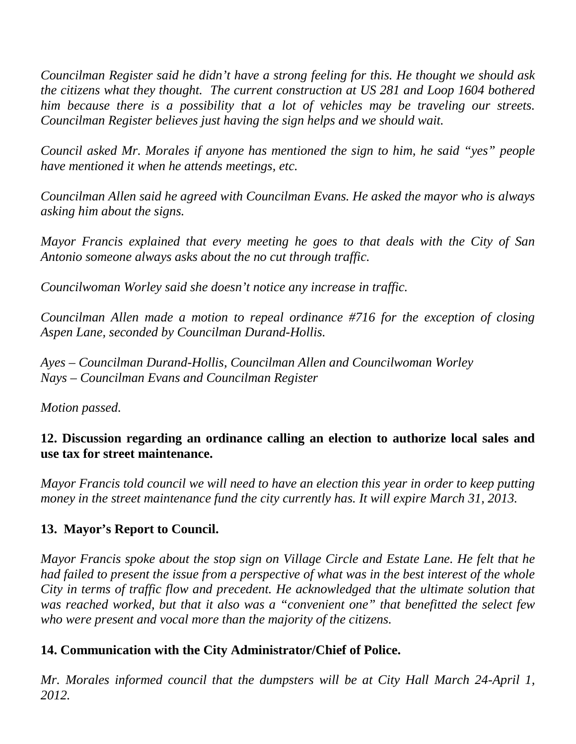*Councilman Register said he didn't have a strong feeling for this. He thought we should ask the citizens what they thought. The current construction at US 281 and Loop 1604 bothered him because there is a possibility that a lot of vehicles may be traveling our streets. Councilman Register believes just having the sign helps and we should wait.*

*Council asked Mr. Morales if anyone has mentioned the sign to him, he said "yes" people have mentioned it when he attends meetings, etc.*

*Councilman Allen said he agreed with Councilman Evans. He asked the mayor who is always asking him about the signs.* 

*Mayor Francis explained that every meeting he goes to that deals with the City of San Antonio someone always asks about the no cut through traffic.*

*Councilwoman Worley said she doesn't notice any increase in traffic.*

*Councilman Allen made a motion to repeal ordinance #716 for the exception of closing Aspen Lane, seconded by Councilman Durand-Hollis.* 

*Ayes – Councilman Durand-Hollis, Councilman Allen and Councilwoman Worley Nays – Councilman Evans and Councilman Register*

*Motion passed.*

## **12. Discussion regarding an ordinance calling an election to authorize local sales and use tax for street maintenance.**

*Mayor Francis told council we will need to have an election this year in order to keep putting money in the street maintenance fund the city currently has. It will expire March 31, 2013.*

## **13. Mayor's Report to Council.**

*Mayor Francis spoke about the stop sign on Village Circle and Estate Lane. He felt that he had failed to present the issue from a perspective of what was in the best interest of the whole City in terms of traffic flow and precedent. He acknowledged that the ultimate solution that was reached worked, but that it also was a "convenient one" that benefitted the select few who were present and vocal more than the majority of the citizens.* 

## **14. Communication with the City Administrator/Chief of Police.**

*Mr. Morales informed council that the dumpsters will be at City Hall March 24-April 1, 2012.*